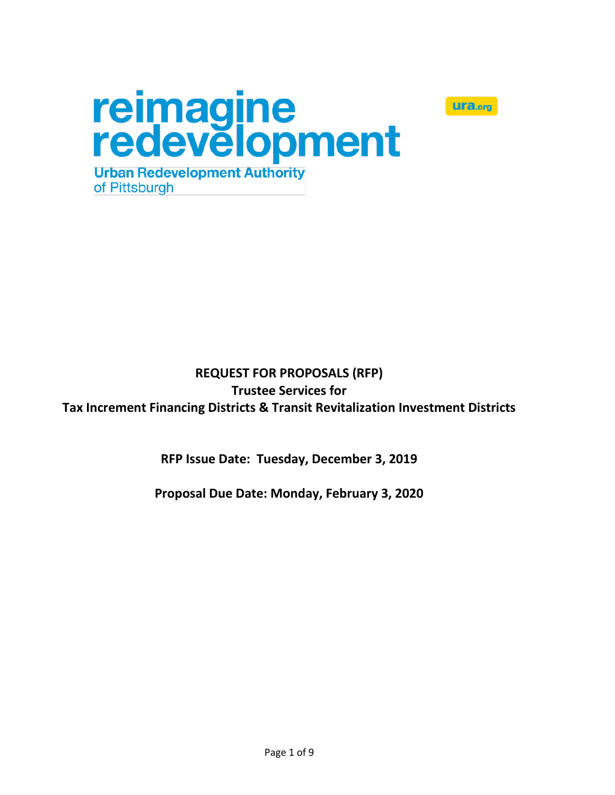



# **REQUEST FOR PROPOSALS (RFP) Trustee Services for Tax Increment Financing Districts & Transit Revitalization Investment Districts**

**RFP Issue Date: Tuesday, December 3, 2019**

**Proposal Due Date: Monday, February 3, 2020**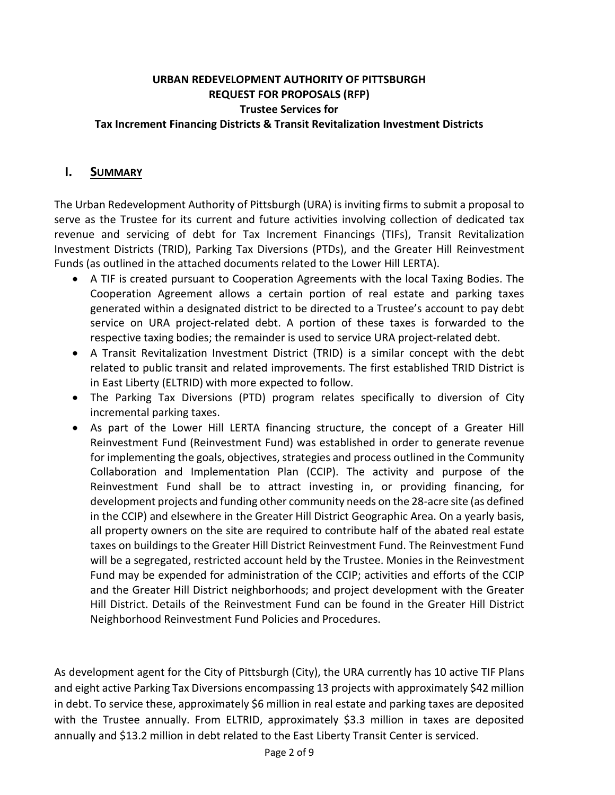#### **URBAN REDEVELOPMENT AUTHORITY OF PITTSBURGH REQUEST FOR PROPOSALS (RFP) Trustee Services for Tax Increment Financing Districts & Transit Revitalization Investment Districts**

#### **I. SUMMARY**

The Urban Redevelopment Authority of Pittsburgh (URA) is inviting firms to submit a proposal to serve as the Trustee for its current and future activities involving collection of dedicated tax revenue and servicing of debt for Tax Increment Financings (TIFs), Transit Revitalization Investment Districts (TRID), Parking Tax Diversions (PTDs), and the Greater Hill Reinvestment Funds (as outlined in the attached documents related to the Lower Hill LERTA).

- A TIF is created pursuant to Cooperation Agreements with the local Taxing Bodies. The Cooperation Agreement allows a certain portion of real estate and parking taxes generated within a designated district to be directed to a Trustee's account to pay debt service on URA project-related debt. A portion of these taxes is forwarded to the respective taxing bodies; the remainder is used to service URA project-related debt.
- A Transit Revitalization Investment District (TRID) is a similar concept with the debt related to public transit and related improvements. The first established TRID District is in East Liberty (ELTRID) with more expected to follow.
- The Parking Tax Diversions (PTD) program relates specifically to diversion of City incremental parking taxes.
- As part of the Lower Hill LERTA financing structure, the concept of a Greater Hill Reinvestment Fund (Reinvestment Fund) was established in order to generate revenue for implementing the goals, objectives, strategies and process outlined in the Community Collaboration and Implementation Plan (CCIP). The activity and purpose of the Reinvestment Fund shall be to attract investing in, or providing financing, for development projects and funding other community needs on the 28-acre site (as defined in the CCIP) and elsewhere in the Greater Hill District Geographic Area. On a yearly basis, all property owners on the site are required to contribute half of the abated real estate taxes on buildings to the Greater Hill District Reinvestment Fund. The Reinvestment Fund will be a segregated, restricted account held by the Trustee. Monies in the Reinvestment Fund may be expended for administration of the CCIP; activities and efforts of the CCIP and the Greater Hill District neighborhoods; and project development with the Greater Hill District. Details of the Reinvestment Fund can be found in the Greater Hill District Neighborhood Reinvestment Fund Policies and Procedures.

As development agent for the City of Pittsburgh (City), the URA currently has 10 active TIF Plans and eight active Parking Tax Diversions encompassing 13 projects with approximately \$42 million in debt. To service these, approximately \$6 million in real estate and parking taxes are deposited with the Trustee annually. From ELTRID, approximately \$3.3 million in taxes are deposited annually and \$13.2 million in debt related to the East Liberty Transit Center is serviced.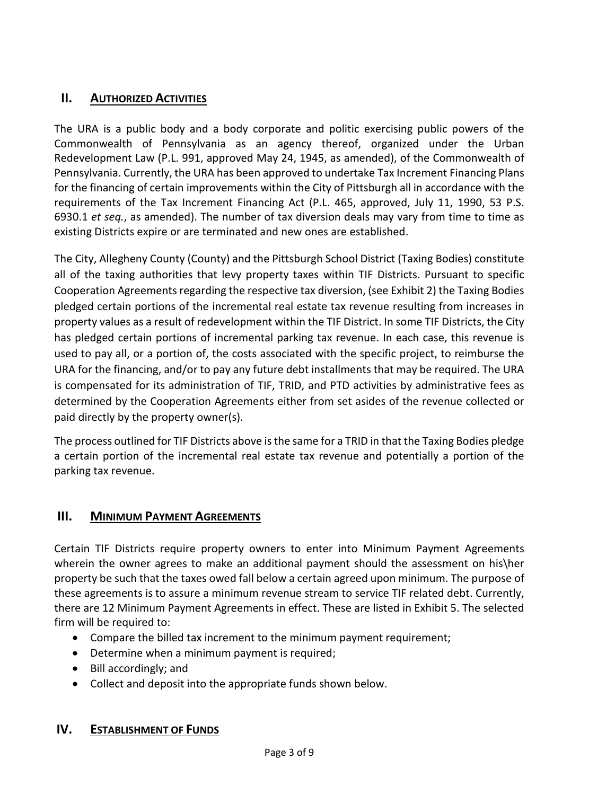## **II. AUTHORIZED ACTIVITIES**

The URA is a public body and a body corporate and politic exercising public powers of the Commonwealth of Pennsylvania as an agency thereof, organized under the Urban Redevelopment Law (P.L. 991, approved May 24, 1945, as amended), of the Commonwealth of Pennsylvania. Currently, the URA has been approved to undertake Tax Increment Financing Plans for the financing of certain improvements within the City of Pittsburgh all in accordance with the requirements of the Tax Increment Financing Act (P.L. 465, approved, July 11, 1990, 53 P.S. 6930.1 *et seq.*, as amended). The number of tax diversion deals may vary from time to time as existing Districts expire or are terminated and new ones are established.

The City, Allegheny County (County) and the Pittsburgh School District (Taxing Bodies) constitute all of the taxing authorities that levy property taxes within TIF Districts. Pursuant to specific Cooperation Agreements regarding the respective tax diversion, (see Exhibit 2) the Taxing Bodies pledged certain portions of the incremental real estate tax revenue resulting from increases in property values as a result of redevelopment within the TIF District. In some TIF Districts, the City has pledged certain portions of incremental parking tax revenue. In each case, this revenue is used to pay all, or a portion of, the costs associated with the specific project, to reimburse the URA for the financing, and/or to pay any future debt installments that may be required. The URA is compensated for its administration of TIF, TRID, and PTD activities by administrative fees as determined by the Cooperation Agreements either from set asides of the revenue collected or paid directly by the property owner(s).

The process outlined for TIF Districts above is the same for a TRID in that the Taxing Bodies pledge a certain portion of the incremental real estate tax revenue and potentially a portion of the parking tax revenue.

#### **III. MINIMUM PAYMENT AGREEMENTS**

Certain TIF Districts require property owners to enter into Minimum Payment Agreements wherein the owner agrees to make an additional payment should the assessment on his\her property be such that the taxes owed fall below a certain agreed upon minimum. The purpose of these agreements is to assure a minimum revenue stream to service TIF related debt. Currently, there are 12 Minimum Payment Agreements in effect. These are listed in Exhibit 5. The selected firm will be required to:

- Compare the billed tax increment to the minimum payment requirement;
- Determine when a minimum payment is required;
- Bill accordingly; and
- Collect and deposit into the appropriate funds shown below.

#### **IV. ESTABLISHMENT OF FUNDS**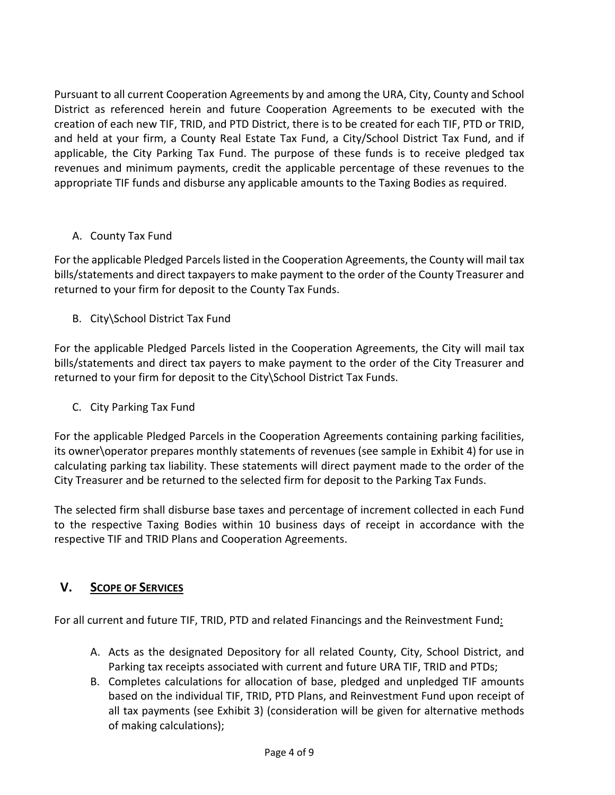Pursuant to all current Cooperation Agreements by and among the URA, City, County and School District as referenced herein and future Cooperation Agreements to be executed with the creation of each new TIF, TRID, and PTD District, there is to be created for each TIF, PTD or TRID, and held at your firm, a County Real Estate Tax Fund, a City/School District Tax Fund, and if applicable, the City Parking Tax Fund. The purpose of these funds is to receive pledged tax revenues and minimum payments, credit the applicable percentage of these revenues to the appropriate TIF funds and disburse any applicable amounts to the Taxing Bodies as required.

## A. County Tax Fund

For the applicable Pledged Parcels listed in the Cooperation Agreements, the County will mail tax bills/statements and direct taxpayers to make payment to the order of the County Treasurer and returned to your firm for deposit to the County Tax Funds.

B. City\School District Tax Fund

For the applicable Pledged Parcels listed in the Cooperation Agreements, the City will mail tax bills/statements and direct tax payers to make payment to the order of the City Treasurer and returned to your firm for deposit to the City\School District Tax Funds.

C. City Parking Tax Fund

For the applicable Pledged Parcels in the Cooperation Agreements containing parking facilities, its owner\operator prepares monthly statements of revenues (see sample in Exhibit 4) for use in calculating parking tax liability. These statements will direct payment made to the order of the City Treasurer and be returned to the selected firm for deposit to the Parking Tax Funds.

The selected firm shall disburse base taxes and percentage of increment collected in each Fund to the respective Taxing Bodies within 10 business days of receipt in accordance with the respective TIF and TRID Plans and Cooperation Agreements.

## **V. SCOPE OF SERVICES**

For all current and future TIF, TRID, PTD and related Financings and the Reinvestment Fund:

- A. Acts as the designated Depository for all related County, City, School District, and Parking tax receipts associated with current and future URA TIF, TRID and PTDs;
- B. Completes calculations for allocation of base, pledged and unpledged TIF amounts based on the individual TIF, TRID, PTD Plans, and Reinvestment Fund upon receipt of all tax payments (see Exhibit 3) (consideration will be given for alternative methods of making calculations);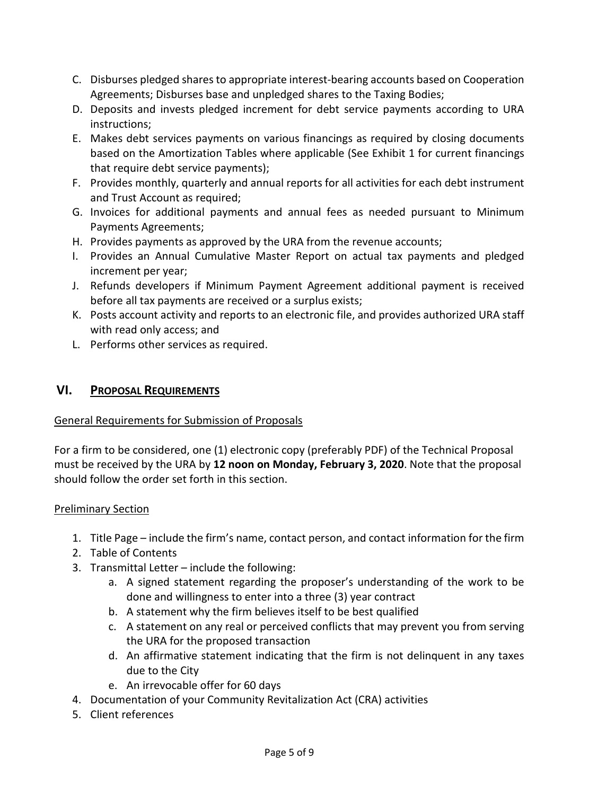- C. Disburses pledged shares to appropriate interest-bearing accounts based on Cooperation Agreements; Disburses base and unpledged shares to the Taxing Bodies;
- D. Deposits and invests pledged increment for debt service payments according to URA instructions;
- E. Makes debt services payments on various financings as required by closing documents based on the Amortization Tables where applicable (See Exhibit 1 for current financings that require debt service payments);
- F. Provides monthly, quarterly and annual reports for all activities for each debt instrument and Trust Account as required;
- G. Invoices for additional payments and annual fees as needed pursuant to Minimum Payments Agreements;
- H. Provides payments as approved by the URA from the revenue accounts;
- I. Provides an Annual Cumulative Master Report on actual tax payments and pledged increment per year;
- J. Refunds developers if Minimum Payment Agreement additional payment is received before all tax payments are received or a surplus exists;
- K. Posts account activity and reports to an electronic file, and provides authorized URA staff with read only access; and
- L. Performs other services as required.

### **VI. PROPOSAL REQUIREMENTS**

#### General Requirements for Submission of Proposals

For a firm to be considered, one (1) electronic copy (preferably PDF) of the Technical Proposal must be received by the URA by **12 noon on Monday, February 3, 2020**. Note that the proposal should follow the order set forth in this section.

#### Preliminary Section

- 1. Title Page include the firm's name, contact person, and contact information for the firm
- 2. Table of Contents
- 3. Transmittal Letter include the following:
	- a. A signed statement regarding the proposer's understanding of the work to be done and willingness to enter into a three (3) year contract
	- b. A statement why the firm believes itself to be best qualified
	- c. A statement on any real or perceived conflicts that may prevent you from serving the URA for the proposed transaction
	- d. An affirmative statement indicating that the firm is not delinquent in any taxes due to the City
	- e. An irrevocable offer for 60 days
- 4. Documentation of your Community Revitalization Act (CRA) activities
- 5. Client references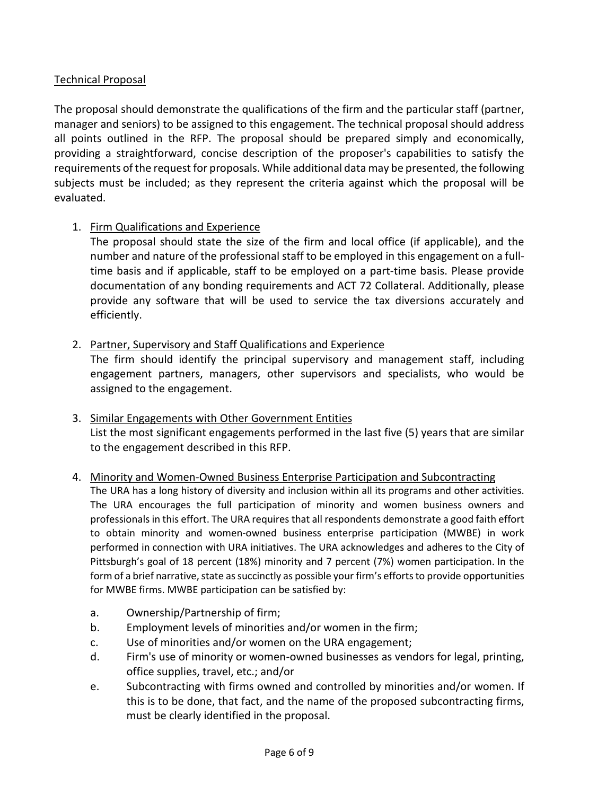### Technical Proposal

The proposal should demonstrate the qualifications of the firm and the particular staff (partner, manager and seniors) to be assigned to this engagement. The technical proposal should address all points outlined in the RFP. The proposal should be prepared simply and economically, providing a straightforward, concise description of the proposer's capabilities to satisfy the requirements of the request for proposals. While additional data may be presented, the following subjects must be included; as they represent the criteria against which the proposal will be evaluated.

#### 1. Firm Qualifications and Experience

The proposal should state the size of the firm and local office (if applicable), and the number and nature of the professional staff to be employed in this engagement on a fulltime basis and if applicable, staff to be employed on a part-time basis. Please provide documentation of any bonding requirements and ACT 72 Collateral. Additionally, please provide any software that will be used to service the tax diversions accurately and efficiently.

### 2. Partner, Supervisory and Staff Qualifications and Experience

The firm should identify the principal supervisory and management staff, including engagement partners, managers, other supervisors and specialists, who would be assigned to the engagement.

### 3. Similar Engagements with Other Government Entities List the most significant engagements performed in the last five (5) years that are similar to the engagement described in this RFP.

#### 4. Minority and Women-Owned Business Enterprise Participation and Subcontracting

The URA has a long history of diversity and inclusion within all its programs and other activities. The URA encourages the full participation of minority and women business owners and professionals in this effort. The URA requires that all respondents demonstrate a good faith effort to obtain minority and women-owned business enterprise participation (MWBE) in work performed in connection with URA initiatives. The URA acknowledges and adheres to the City of Pittsburgh's goal of 18 percent (18%) minority and 7 percent (7%) women participation. In the form of a brief narrative, state as succinctly as possible your firm's efforts to provide opportunities for MWBE firms. MWBE participation can be satisfied by:

- a. Ownership/Partnership of firm;
- b. Employment levels of minorities and/or women in the firm;
- c. Use of minorities and/or women on the URA engagement;
- d. Firm's use of minority or women-owned businesses as vendors for legal, printing, office supplies, travel, etc.; and/or
- e. Subcontracting with firms owned and controlled by minorities and/or women. If this is to be done, that fact, and the name of the proposed subcontracting firms, must be clearly identified in the proposal.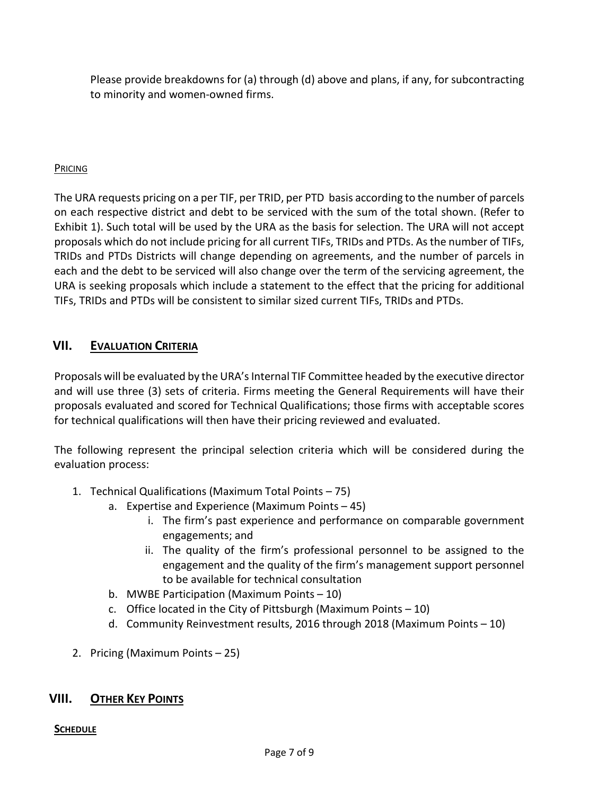Please provide breakdowns for (a) through (d) above and plans, if any, for subcontracting to minority and women-owned firms.

### PRICING

The URA requests pricing on a per TIF, per TRID, per PTD basis according to the number of parcels on each respective district and debt to be serviced with the sum of the total shown. (Refer to Exhibit 1). Such total will be used by the URA as the basis for selection. The URA will not accept proposals which do not include pricing for all current TIFs, TRIDs and PTDs. Asthe number of TIFs, TRIDs and PTDs Districts will change depending on agreements, and the number of parcels in each and the debt to be serviced will also change over the term of the servicing agreement, the URA is seeking proposals which include a statement to the effect that the pricing for additional TIFs, TRIDs and PTDs will be consistent to similar sized current TIFs, TRIDs and PTDs.

## **VII. EVALUATION CRITERIA**

Proposals will be evaluated by the URA's Internal TIF Committee headed by the executive director and will use three (3) sets of criteria. Firms meeting the General Requirements will have their proposals evaluated and scored for Technical Qualifications; those firms with acceptable scores for technical qualifications will then have their pricing reviewed and evaluated.

The following represent the principal selection criteria which will be considered during the evaluation process:

- 1. Technical Qualifications (Maximum Total Points 75)
	- a. Expertise and Experience (Maximum Points 45)
		- i. The firm's past experience and performance on comparable government engagements; and
		- ii. The quality of the firm's professional personnel to be assigned to the engagement and the quality of the firm's management support personnel to be available for technical consultation
	- b. MWBE Participation (Maximum Points 10)
	- c. Office located in the City of Pittsburgh (Maximum Points  $-10$ )
	- d. Community Reinvestment results, 2016 through 2018 (Maximum Points 10)
- 2. Pricing (Maximum Points 25)

## **VIII. OTHER KEY POINTS**

#### **SCHEDULE**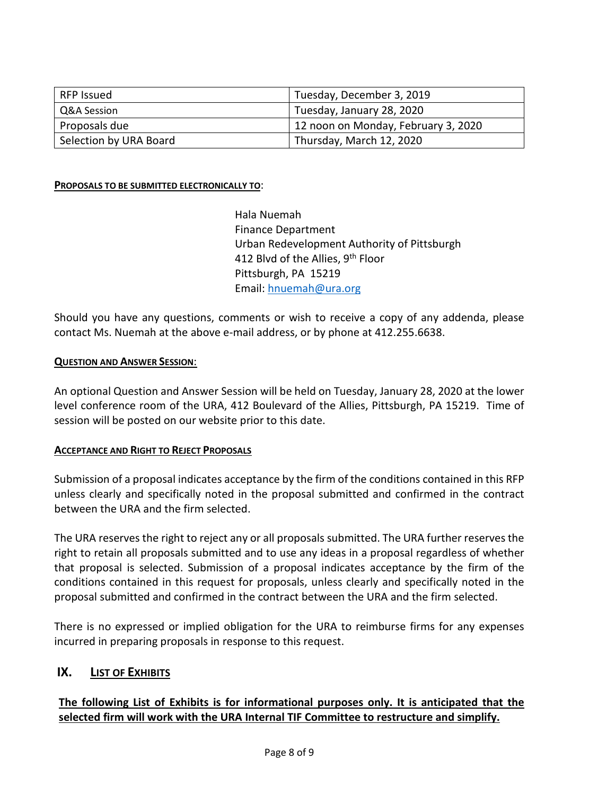| RFP Issued             | Tuesday, December 3, 2019           |
|------------------------|-------------------------------------|
| Q&A Session            | Tuesday, January 28, 2020           |
| Proposals due          | 12 noon on Monday, February 3, 2020 |
| Selection by URA Board | Thursday, March 12, 2020            |

#### **PROPOSALS TO BE SUBMITTED ELECTRONICALLY TO**:

Hala Nuemah Finance Department Urban Redevelopment Authority of Pittsburgh 412 Blvd of the Allies, 9<sup>th</sup> Floor Pittsburgh, PA 15219 Email: [hnuemah@ura.org](mailto:hnuemah@ura.org)

Should you have any questions, comments or wish to receive a copy of any addenda, please contact Ms. Nuemah at the above e-mail address, or by phone at 412.255.6638.

#### **QUESTION AND ANSWER SESSION**:

An optional Question and Answer Session will be held on Tuesday, January 28, 2020 at the lower level conference room of the URA, 412 Boulevard of the Allies, Pittsburgh, PA 15219. Time of session will be posted on our website prior to this date.

#### **ACCEPTANCE AND RIGHT TO REJECT PROPOSALS**

Submission of a proposal indicates acceptance by the firm of the conditions contained in this RFP unless clearly and specifically noted in the proposal submitted and confirmed in the contract between the URA and the firm selected.

The URA reserves the right to reject any or all proposals submitted. The URA further reserves the right to retain all proposals submitted and to use any ideas in a proposal regardless of whether that proposal is selected. Submission of a proposal indicates acceptance by the firm of the conditions contained in this request for proposals, unless clearly and specifically noted in the proposal submitted and confirmed in the contract between the URA and the firm selected.

There is no expressed or implied obligation for the URA to reimburse firms for any expenses incurred in preparing proposals in response to this request.

#### **IX. LIST OF EXHIBITS**

#### **The following List of Exhibits is for informational purposes only. It is anticipated that the selected firm will work with the URA Internal TIF Committee to restructure and simplify.**